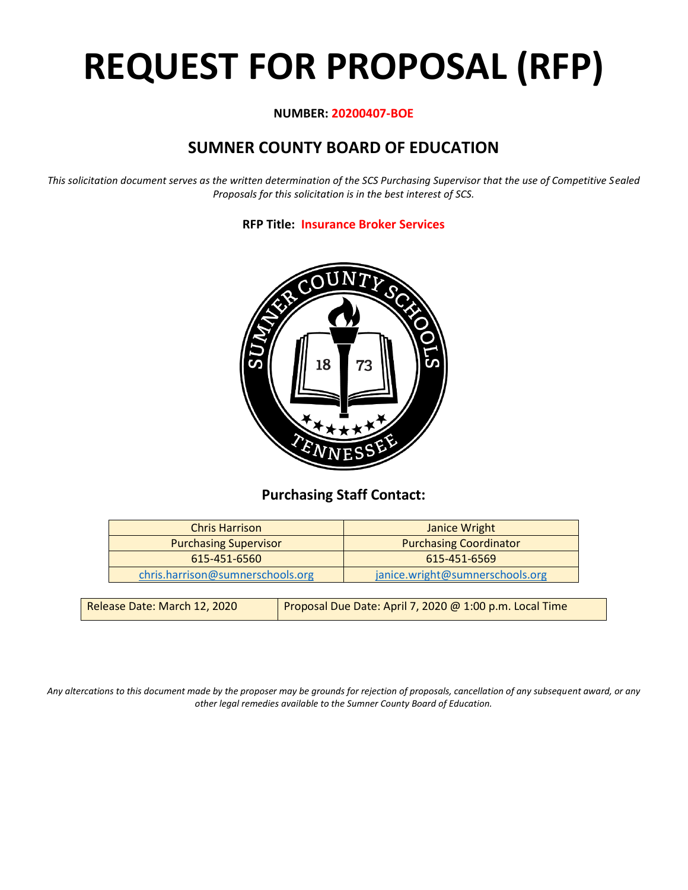# **REQUEST FOR PROPOSAL (RFP)**

# **NUMBER: 20200407-BOE**

# **SUMNER COUNTY BOARD OF EDUCATION**

*This solicitation document serves as the written determination of the SCS Purchasing Supervisor that the use of Competitive Sealed Proposals for this solicitation is in the best interest of SCS.*

**RFP Title: Insurance Broker Services**



# **Purchasing Staff Contact:**

| Janice Wright                   |
|---------------------------------|
| <b>Purchasing Coordinator</b>   |
| 615-451-6569                    |
| janice.wright@sumnerschools.org |
|                                 |

| Release Date: March 12, 2020 | Proposal Due Date: April 7, 2020 @ 1:00 p.m. Local Time |
|------------------------------|---------------------------------------------------------|
|                              |                                                         |

*Any altercations to this document made by the proposer may be grounds for rejection of proposals, cancellation of any subsequent award, or any other legal remedies available to the Sumner County Board of Education.*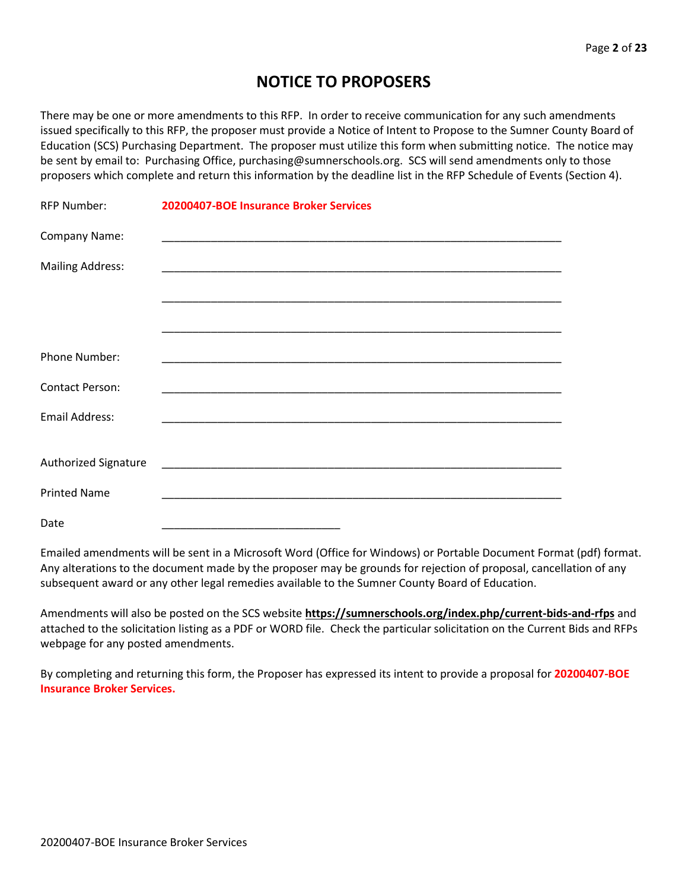# **NOTICE TO PROPOSERS**

There may be one or more amendments to this RFP. In order to receive communication for any such amendments issued specifically to this RFP, the proposer must provide a Notice of Intent to Propose to the Sumner County Board of Education (SCS) Purchasing Department. The proposer must utilize this form when submitting notice. The notice may be sent by email to: Purchasing Office, purchasing@sumnerschools.org. SCS will send amendments only to those proposers which complete and return this information by the deadline list in the RFP Schedule of Events (Section 4).

| <b>RFP Number:</b>      | 20200407-BOE Insurance Broker Services |  |
|-------------------------|----------------------------------------|--|
| Company Name:           |                                        |  |
| <b>Mailing Address:</b> |                                        |  |
|                         |                                        |  |
|                         |                                        |  |
| Phone Number:           |                                        |  |
| <b>Contact Person:</b>  |                                        |  |
| Email Address:          |                                        |  |
| Authorized Signature    |                                        |  |
|                         |                                        |  |
| <b>Printed Name</b>     |                                        |  |
| Date                    |                                        |  |

Emailed amendments will be sent in a Microsoft Word (Office for Windows) or Portable Document Format (pdf) format. Any alterations to the document made by the proposer may be grounds for rejection of proposal, cancellation of any subsequent award or any other legal remedies available to the Sumner County Board of Education.

Amendments will also be posted on the SCS website **https://sumnerschools.org/index.php/current-bids-and-rfps** and attached to the solicitation listing as a PDF or WORD file. Check the particular solicitation on the Current Bids and RFPs webpage for any posted amendments.

By completing and returning this form, the Proposer has expressed its intent to provide a proposal for **20200407-BOE Insurance Broker Services.**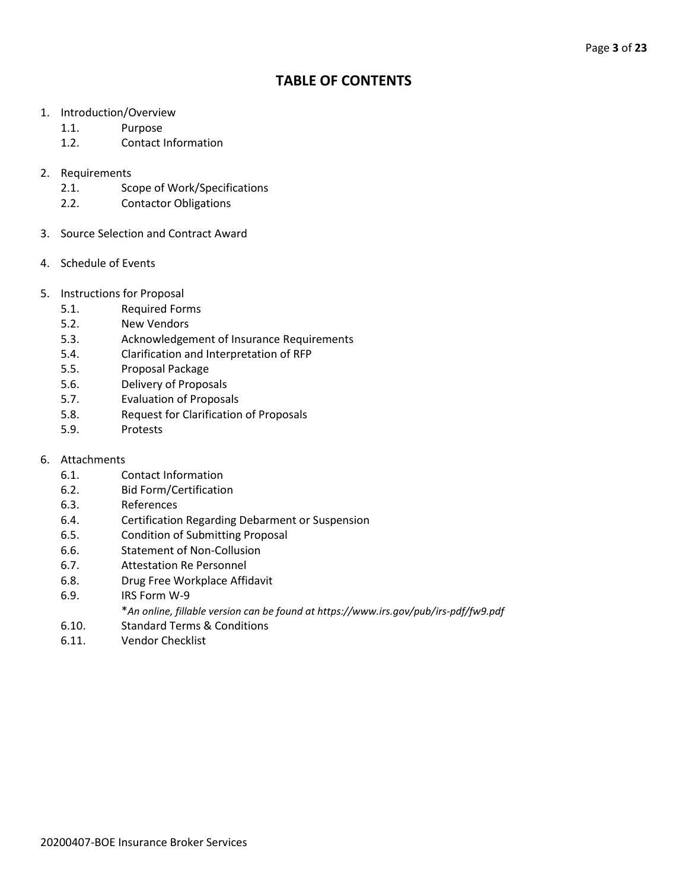# **TABLE OF CONTENTS**

- 1. Introduction/Overview
	- 1.1. Purpose
	- 1.2. Contact Information
- 2. Requirements
	- 2.1. Scope of Work/Specifications
	- 2.2. Contactor Obligations
- 3. Source Selection and Contract Award
- 4. Schedule of Events
- 5. Instructions for Proposal
	- 5.1. Required Forms
	- 5.2. New Vendors
	- 5.3. Acknowledgement of Insurance Requirements
	- 5.4. Clarification and Interpretation of RFP
	- 5.5. Proposal Package
	- 5.6. Delivery of Proposals
	- 5.7. Evaluation of Proposals
	- 5.8. Request for Clarification of Proposals
	- 5.9. Protests
- 6. Attachments
	- 6.1. Contact Information
	- 6.2. Bid Form/Certification
	- 6.3. References
	- 6.4. Certification Regarding Debarment or Suspension
	- 6.5. Condition of Submitting Proposal
	- 6.6. Statement of Non-Collusion
	- 6.7. Attestation Re Personnel
	- 6.8. Drug Free Workplace Affidavit
	- 6.9. IRS Form W-9
		- \**An online, fillable version can be found at https://www.irs.gov/pub/irs-pdf/fw9.pdf*
	- 6.10. Standard Terms & Conditions
	- 6.11. Vendor Checklist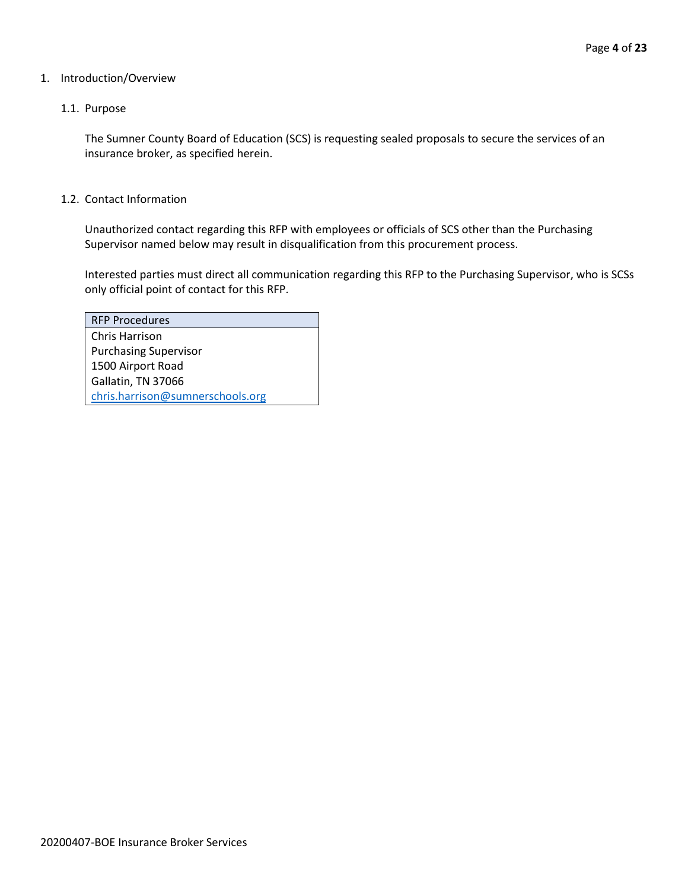## 1. Introduction/Overview

# 1.1. Purpose

The Sumner County Board of Education (SCS) is requesting sealed proposals to secure the services of an insurance broker, as specified herein.

## 1.2. Contact Information

Unauthorized contact regarding this RFP with employees or officials of SCS other than the Purchasing Supervisor named below may result in disqualification from this procurement process.

Interested parties must direct all communication regarding this RFP to the Purchasing Supervisor, who is SCSs only official point of contact for this RFP.

| <b>RFP Procedures</b>            |
|----------------------------------|
| Chris Harrison                   |
| <b>Purchasing Supervisor</b>     |
| 1500 Airport Road                |
| Gallatin, TN 37066               |
| chris.harrison@sumnerschools.org |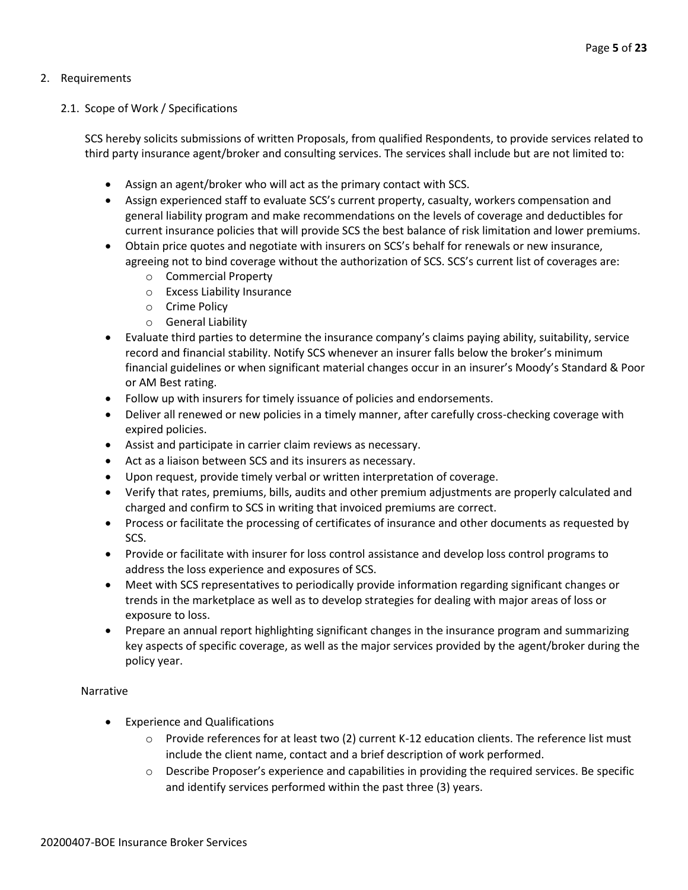# 2. Requirements

# 2.1. Scope of Work / Specifications

SCS hereby solicits submissions of written Proposals, from qualified Respondents, to provide services related to third party insurance agent/broker and consulting services. The services shall include but are not limited to:

- Assign an agent/broker who will act as the primary contact with SCS.
- Assign experienced staff to evaluate SCS's current property, casualty, workers compensation and general liability program and make recommendations on the levels of coverage and deductibles for current insurance policies that will provide SCS the best balance of risk limitation and lower premiums.
- Obtain price quotes and negotiate with insurers on SCS's behalf for renewals or new insurance, agreeing not to bind coverage without the authorization of SCS. SCS's current list of coverages are:
	- o Commercial Property
	- o Excess Liability Insurance
	- o Crime Policy
	- o General Liability
- Evaluate third parties to determine the insurance company's claims paying ability, suitability, service record and financial stability. Notify SCS whenever an insurer falls below the broker's minimum financial guidelines or when significant material changes occur in an insurer's Moody's Standard & Poor or AM Best rating.
- Follow up with insurers for timely issuance of policies and endorsements.
- Deliver all renewed or new policies in a timely manner, after carefully cross-checking coverage with expired policies.
- Assist and participate in carrier claim reviews as necessary.
- Act as a liaison between SCS and its insurers as necessary.
- Upon request, provide timely verbal or written interpretation of coverage.
- Verify that rates, premiums, bills, audits and other premium adjustments are properly calculated and charged and confirm to SCS in writing that invoiced premiums are correct.
- Process or facilitate the processing of certificates of insurance and other documents as requested by SCS.
- Provide or facilitate with insurer for loss control assistance and develop loss control programs to address the loss experience and exposures of SCS.
- Meet with SCS representatives to periodically provide information regarding significant changes or trends in the marketplace as well as to develop strategies for dealing with major areas of loss or exposure to loss.
- Prepare an annual report highlighting significant changes in the insurance program and summarizing key aspects of specific coverage, as well as the major services provided by the agent/broker during the policy year.

# Narrative

- Experience and Qualifications
	- $\circ$  Provide references for at least two (2) current K-12 education clients. The reference list must include the client name, contact and a brief description of work performed.
	- $\circ$  Describe Proposer's experience and capabilities in providing the required services. Be specific and identify services performed within the past three (3) years.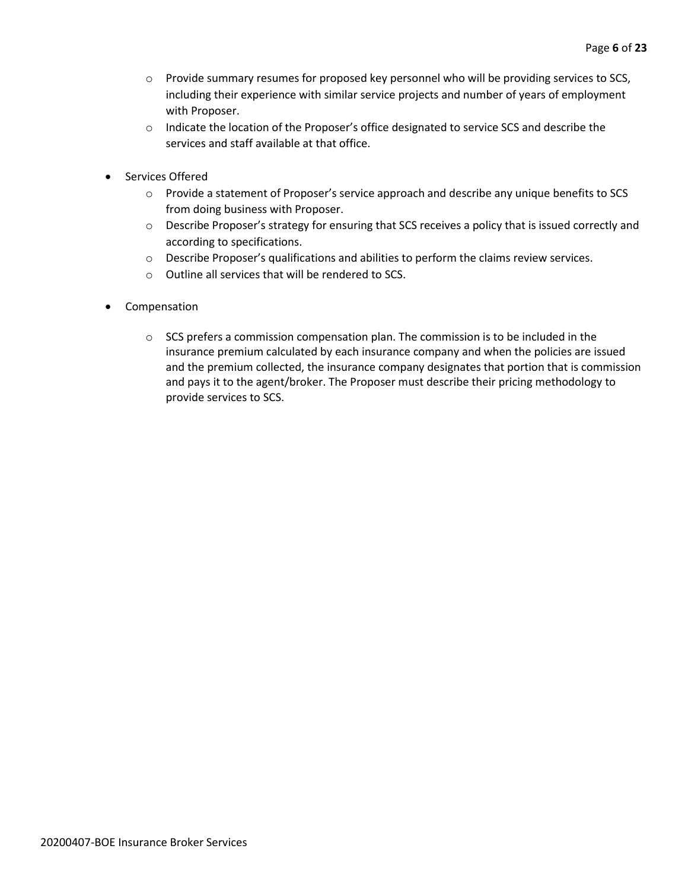- o Provide summary resumes for proposed key personnel who will be providing services to SCS, including their experience with similar service projects and number of years of employment with Proposer.
- o Indicate the location of the Proposer's office designated to service SCS and describe the services and staff available at that office.
- Services Offered
	- o Provide a statement of Proposer's service approach and describe any unique benefits to SCS from doing business with Proposer.
	- o Describe Proposer's strategy for ensuring that SCS receives a policy that is issued correctly and according to specifications.
	- o Describe Proposer's qualifications and abilities to perform the claims review services.
	- o Outline all services that will be rendered to SCS.
- Compensation
	- o SCS prefers a commission compensation plan. The commission is to be included in the insurance premium calculated by each insurance company and when the policies are issued and the premium collected, the insurance company designates that portion that is commission and pays it to the agent/broker. The Proposer must describe their pricing methodology to provide services to SCS.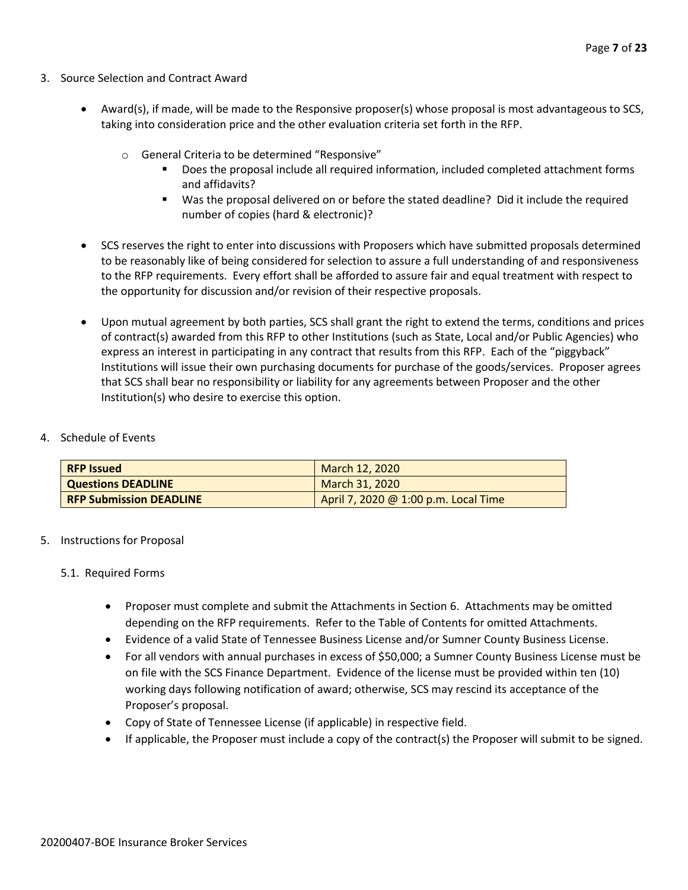- 3. Source Selection and Contract Award
	- Award(s), if made, will be made to the Responsive proposer(s) whose proposal is most advantageous to SCS, taking into consideration price and the other evaluation criteria set forth in the RFP.
		- o General Criteria to be determined "Responsive"
			- Does the proposal include all required information, included completed attachment forms and affidavits?
			- Was the proposal delivered on or before the stated deadline? Did it include the required number of copies (hard & electronic)?
	- SCS reserves the right to enter into discussions with Proposers which have submitted proposals determined to be reasonably like of being considered for selection to assure a full understanding of and responsiveness to the RFP requirements. Every effort shall be afforded to assure fair and equal treatment with respect to the opportunity for discussion and/or revision of their respective proposals.
	- Upon mutual agreement by both parties, SCS shall grant the right to extend the terms, conditions and prices of contract(s) awarded from this RFP to other Institutions (such as State, Local and/or Public Agencies) who express an interest in participating in any contract that results from this RFP. Each of the "piggyback" Institutions will issue their own purchasing documents for purchase of the goods/services. Proposer agrees that SCS shall bear no responsibility or liability for any agreements between Proposer and the other Institution(s) who desire to exercise this option.

## 4. Schedule of Events

| <b>RFP Issued</b>              | March 12, 2020                       |
|--------------------------------|--------------------------------------|
| <b>Questions DEADLINE</b>      | March 31, 2020                       |
| <b>RFP Submission DEADLINE</b> | April 7, 2020 @ 1:00 p.m. Local Time |

# 5. Instructions for Proposal

#### 5.1. Required Forms

- Proposer must complete and submit the Attachments in Section 6. Attachments may be omitted depending on the RFP requirements. Refer to the Table of Contents for omitted Attachments.
- Evidence of a valid State of Tennessee Business License and/or Sumner County Business License.
- For all vendors with annual purchases in excess of \$50,000; a Sumner County Business License must be on file with the SCS Finance Department. Evidence of the license must be provided within ten (10) working days following notification of award; otherwise, SCS may rescind its acceptance of the Proposer's proposal.
- Copy of State of Tennessee License (if applicable) in respective field.
- If applicable, the Proposer must include a copy of the contract(s) the Proposer will submit to be signed.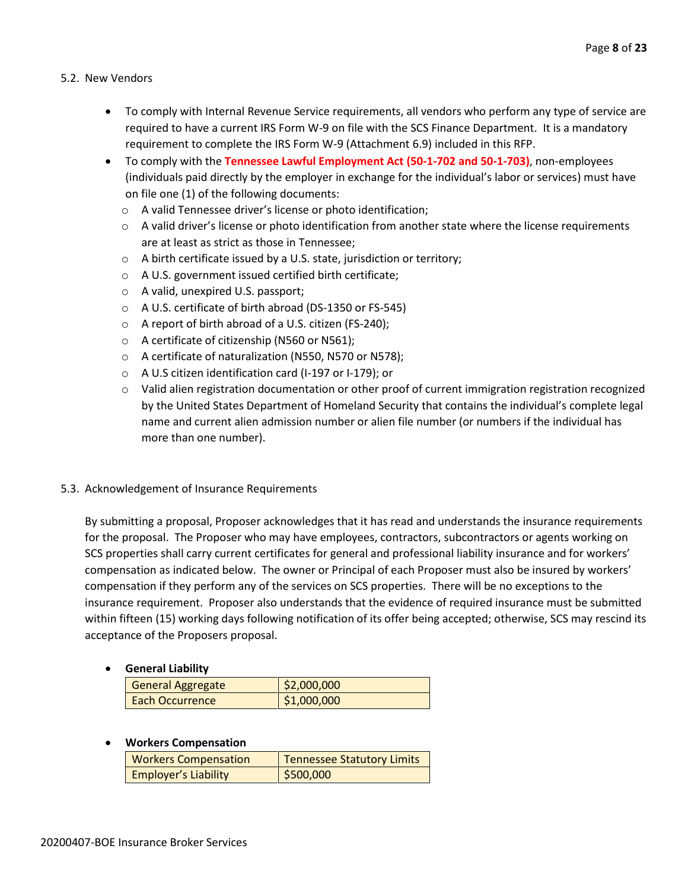# 5.2. New Vendors

- To comply with Internal Revenue Service requirements, all vendors who perform any type of service are required to have a current IRS Form W-9 on file with the SCS Finance Department. It is a mandatory requirement to complete the IRS Form W-9 (Attachment 6.9) included in this RFP.
- To comply with the **Tennessee Lawful Employment Act (50-1-702 and 50-1-703)**, non-employees (individuals paid directly by the employer in exchange for the individual's labor or services) must have on file one (1) of the following documents:
	- o A valid Tennessee driver's license or photo identification;
	- $\circ$  A valid driver's license or photo identification from another state where the license requirements are at least as strict as those in Tennessee;
	- o A birth certificate issued by a U.S. state, jurisdiction or territory;
	- o A U.S. government issued certified birth certificate;
	- o A valid, unexpired U.S. passport;
	- o A U.S. certificate of birth abroad (DS-1350 or FS-545)
	- o A report of birth abroad of a U.S. citizen (FS-240);
	- o A certificate of citizenship (N560 or N561);
	- o A certificate of naturalization (N550, N570 or N578);
	- o A U.S citizen identification card (I-197 or I-179); or
	- o Valid alien registration documentation or other proof of current immigration registration recognized by the United States Department of Homeland Security that contains the individual's complete legal name and current alien admission number or alien file number (or numbers if the individual has more than one number).

# 5.3. Acknowledgement of Insurance Requirements

By submitting a proposal, Proposer acknowledges that it has read and understands the insurance requirements for the proposal. The Proposer who may have employees, contractors, subcontractors or agents working on SCS properties shall carry current certificates for general and professional liability insurance and for workers' compensation as indicated below. The owner or Principal of each Proposer must also be insured by workers' compensation if they perform any of the services on SCS properties. There will be no exceptions to the insurance requirement. Proposer also understands that the evidence of required insurance must be submitted within fifteen (15) working days following notification of its offer being accepted; otherwise, SCS may rescind its acceptance of the Proposers proposal.

# • **General Liability**

| <b>General Aggregate</b> | \$2,000,000 |
|--------------------------|-------------|
| Each Occurrence          | \$1,000,000 |

# • **Workers Compensation**

| <b>Workers Compensation</b> | Tennessee Statutory Limits |
|-----------------------------|----------------------------|
| <b>Employer's Liability</b> | \$500,000                  |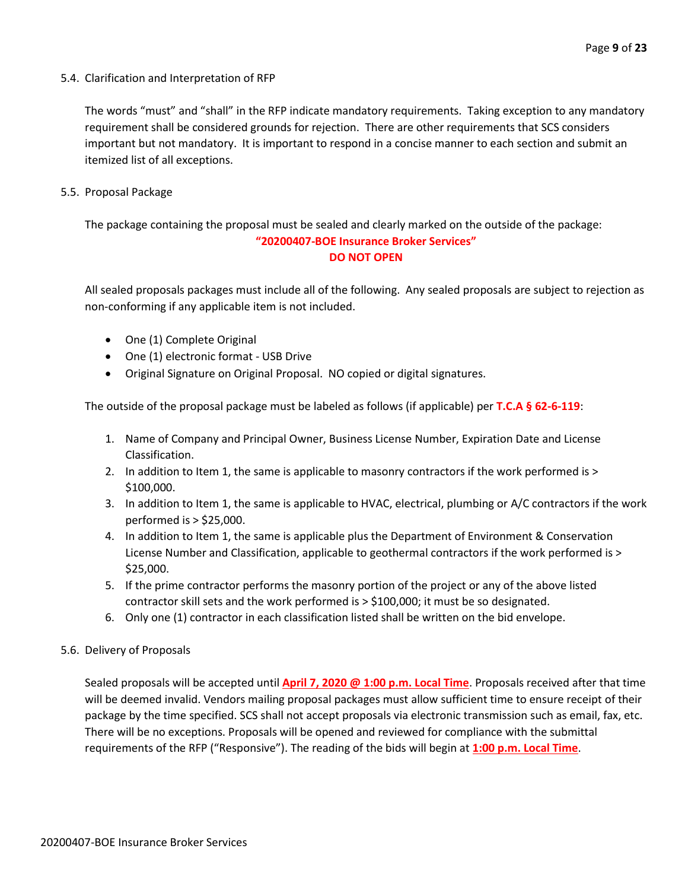5.4. Clarification and Interpretation of RFP

The words "must" and "shall" in the RFP indicate mandatory requirements. Taking exception to any mandatory requirement shall be considered grounds for rejection. There are other requirements that SCS considers important but not mandatory. It is important to respond in a concise manner to each section and submit an itemized list of all exceptions.

5.5. Proposal Package

The package containing the proposal must be sealed and clearly marked on the outside of the package: **"20200407-BOE Insurance Broker Services" DO NOT OPEN**

All sealed proposals packages must include all of the following. Any sealed proposals are subject to rejection as non-conforming if any applicable item is not included.

- One (1) Complete Original
- One (1) electronic format USB Drive
- Original Signature on Original Proposal. NO copied or digital signatures.

The outside of the proposal package must be labeled as follows (if applicable) per **T.C.A § 62-6-119**:

- 1. Name of Company and Principal Owner, Business License Number, Expiration Date and License Classification.
- 2. In addition to Item 1, the same is applicable to masonry contractors if the work performed is > \$100,000.
- 3. In addition to Item 1, the same is applicable to HVAC, electrical, plumbing or A/C contractors if the work performed is > \$25,000.
- 4. In addition to Item 1, the same is applicable plus the Department of Environment & Conservation License Number and Classification, applicable to geothermal contractors if the work performed is > \$25,000.
- 5. If the prime contractor performs the masonry portion of the project or any of the above listed contractor skill sets and the work performed is > \$100,000; it must be so designated.
- 6. Only one (1) contractor in each classification listed shall be written on the bid envelope.
- 5.6. Delivery of Proposals

Sealed proposals will be accepted until **April 7, 2020 @ 1:00 p.m. Local Time**. Proposals received after that time will be deemed invalid. Vendors mailing proposal packages must allow sufficient time to ensure receipt of their package by the time specified. SCS shall not accept proposals via electronic transmission such as email, fax, etc. There will be no exceptions. Proposals will be opened and reviewed for compliance with the submittal requirements of the RFP ("Responsive"). The reading of the bids will begin at **1:00 p.m. Local Time**.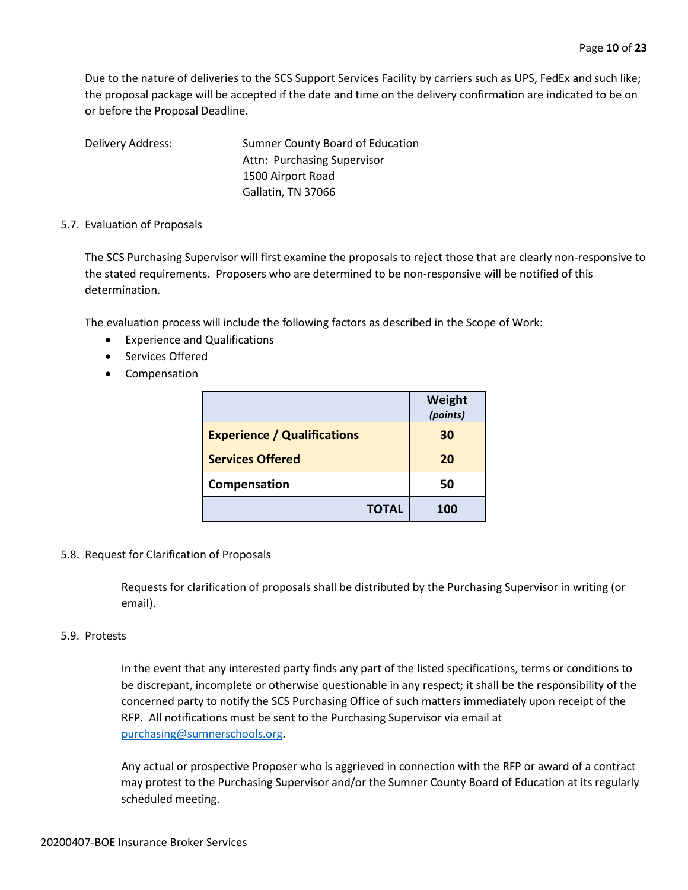Due to the nature of deliveries to the SCS Support Services Facility by carriers such as UPS, FedEx and such like; the proposal package will be accepted if the date and time on the delivery confirmation are indicated to be on or before the Proposal Deadline.

Delivery Address: Sumner County Board of Education Attn: Purchasing Supervisor 1500 Airport Road Gallatin, TN 37066

## 5.7. Evaluation of Proposals

The SCS Purchasing Supervisor will first examine the proposals to reject those that are clearly non-responsive to the stated requirements. Proposers who are determined to be non-responsive will be notified of this determination.

The evaluation process will include the following factors as described in the Scope of Work:

- Experience and Qualifications
- Services Offered
- Compensation

|                                    | Weight<br>(points) |
|------------------------------------|--------------------|
| <b>Experience / Qualifications</b> | 30                 |
| <b>Services Offered</b>            | 20                 |
| Compensation                       | 50                 |
| <b>TOTAL</b>                       | 100                |

#### 5.8. Request for Clarification of Proposals

Requests for clarification of proposals shall be distributed by the Purchasing Supervisor in writing (or email).

#### 5.9. Protests

In the event that any interested party finds any part of the listed specifications, terms or conditions to be discrepant, incomplete or otherwise questionable in any respect; it shall be the responsibility of the concerned party to notify the SCS Purchasing Office of such matters immediately upon receipt of the RFP. All notifications must be sent to the Purchasing Supervisor via email at [purchasing@sumnerschools.org.](mailto:purchasing@sumnerschools.org)

Any actual or prospective Proposer who is aggrieved in connection with the RFP or award of a contract may protest to the Purchasing Supervisor and/or the Sumner County Board of Education at its regularly scheduled meeting.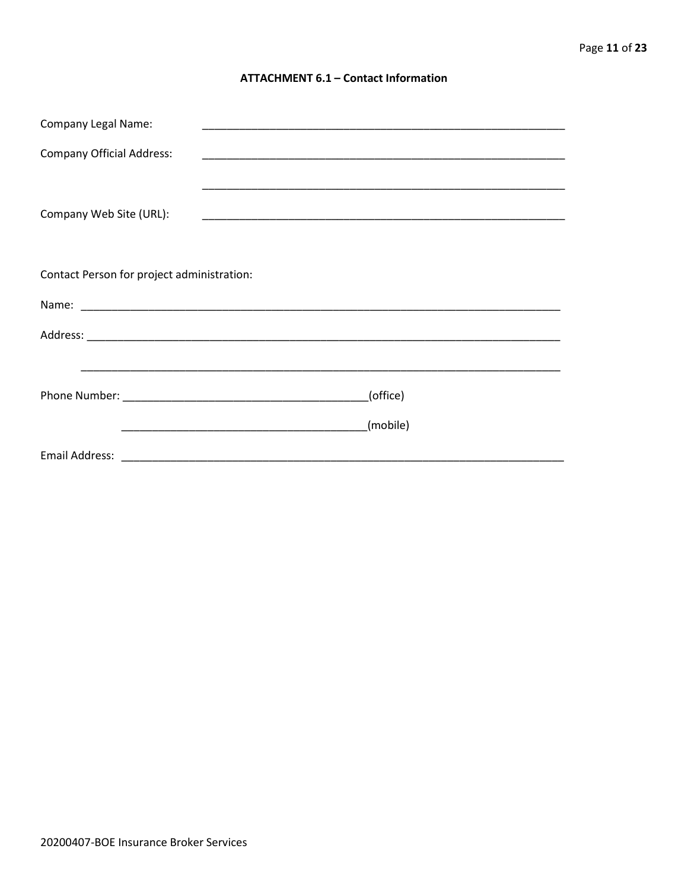#### **ATTACHMENT 6.1 - Contact Information**

| <b>Company Legal Name:</b>                 |          |
|--------------------------------------------|----------|
| <b>Company Official Address:</b>           |          |
|                                            |          |
| Company Web Site (URL):                    |          |
|                                            |          |
|                                            |          |
| Contact Person for project administration: |          |
|                                            |          |
|                                            |          |
|                                            |          |
|                                            | (office) |
|                                            |          |
|                                            | (mobile) |
|                                            |          |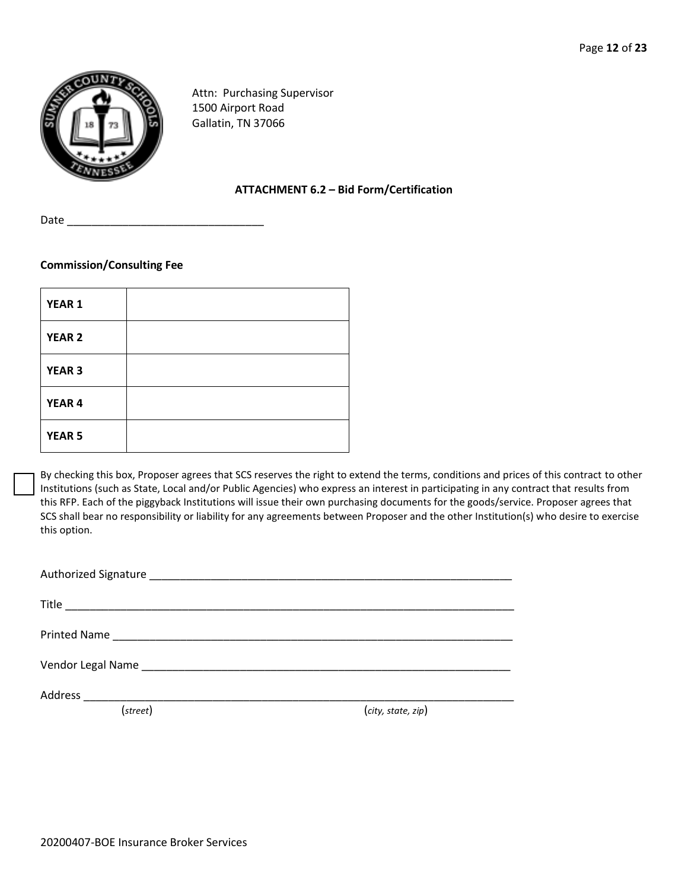

Attn: Purchasing Supervisor 1500 Airport Road Gallatin, TN 37066

# **ATTACHMENT 6.2 – Bid Form/Certification**

Date

# **Commission/Consulting Fee**

| YEAR <sub>1</sub> |  |
|-------------------|--|
| <b>YEAR 2</b>     |  |
| YEAR <sub>3</sub> |  |
| YEAR 4            |  |
| <b>YEAR 5</b>     |  |

By checking this box, Proposer agrees that SCS reserves the right to extend the terms, conditions and prices of this contract to other Institutions (such as State, Local and/or Public Agencies) who express an interest in participating in any contract that results from this RFP. Each of the piggyback Institutions will issue their own purchasing documents for the goods/service. Proposer agrees that SCS shall bear no responsibility or liability for any agreements between Proposer and the other Institution(s) who desire to exercise this option.

| (street) | (city, state, zip) |
|----------|--------------------|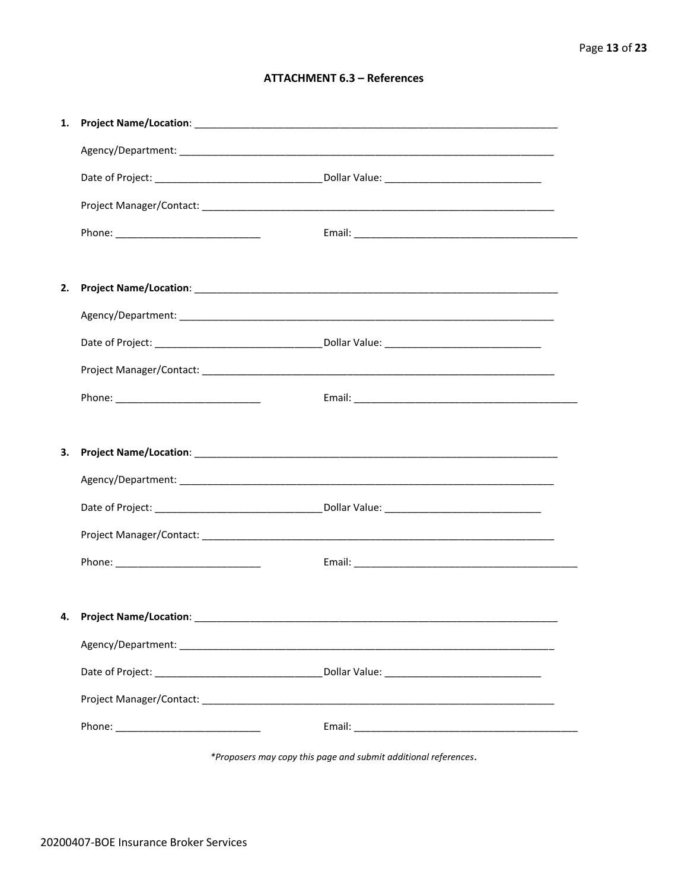# **ATTACHMENT 6.3 - References**

| 1. |                                    |  |
|----|------------------------------------|--|
|    |                                    |  |
|    |                                    |  |
|    |                                    |  |
|    |                                    |  |
|    |                                    |  |
| 2. |                                    |  |
|    |                                    |  |
|    |                                    |  |
|    |                                    |  |
|    |                                    |  |
|    |                                    |  |
| 3. |                                    |  |
|    |                                    |  |
|    |                                    |  |
|    |                                    |  |
|    |                                    |  |
|    |                                    |  |
|    | 4. Project Name/Location: ________ |  |
|    |                                    |  |
|    |                                    |  |
|    |                                    |  |
|    |                                    |  |

\*Proposers may copy this page and submit additional references.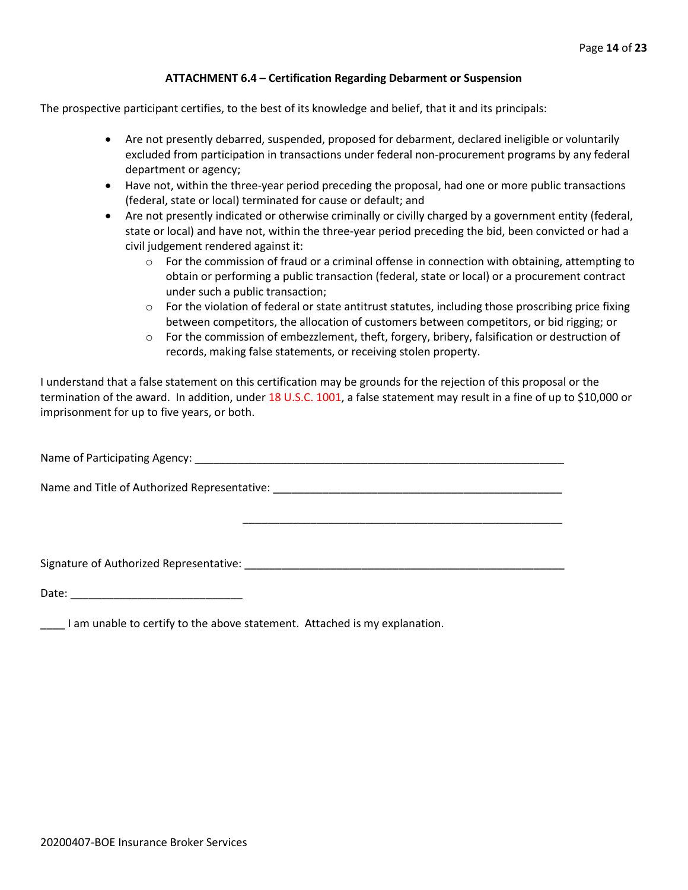## **ATTACHMENT 6.4 – Certification Regarding Debarment or Suspension**

The prospective participant certifies, to the best of its knowledge and belief, that it and its principals:

- Are not presently debarred, suspended, proposed for debarment, declared ineligible or voluntarily excluded from participation in transactions under federal non-procurement programs by any federal department or agency;
- Have not, within the three-year period preceding the proposal, had one or more public transactions (federal, state or local) terminated for cause or default; and
- Are not presently indicated or otherwise criminally or civilly charged by a government entity (federal, state or local) and have not, within the three-year period preceding the bid, been convicted or had a civil judgement rendered against it:
	- $\circ$  For the commission of fraud or a criminal offense in connection with obtaining, attempting to obtain or performing a public transaction (federal, state or local) or a procurement contract under such a public transaction;
	- $\circ$  For the violation of federal or state antitrust statutes, including those proscribing price fixing between competitors, the allocation of customers between competitors, or bid rigging; or
	- $\circ$  For the commission of embezzlement, theft, forgery, bribery, falsification or destruction of records, making false statements, or receiving stolen property.

\_\_\_\_\_\_\_\_\_\_\_\_\_\_\_\_\_\_\_\_\_\_\_\_\_\_\_\_\_\_\_\_\_\_\_\_\_\_\_\_\_\_\_\_\_\_\_\_\_\_\_\_

I understand that a false statement on this certification may be grounds for the rejection of this proposal or the termination of the award. In addition, under 18 U.S.C. 1001, a false statement may result in a fine of up to \$10,000 or imprisonment for up to five years, or both.

Name of Participating Agency: \_\_\_\_\_\_\_\_\_\_\_\_\_\_\_\_\_\_\_\_\_\_\_\_\_\_\_\_\_\_\_\_\_\_\_\_\_\_\_\_\_\_\_\_\_\_\_\_\_\_\_\_\_\_\_\_\_\_\_\_

Name and Title of Authorized Representative: \_\_\_\_\_\_\_\_\_\_\_\_\_\_\_\_\_\_\_\_\_\_\_\_\_\_\_\_\_\_\_\_\_\_\_

Signature of Authorized Representative: \_\_\_\_\_\_\_\_\_\_\_\_\_\_\_\_\_\_\_\_\_\_\_\_\_\_\_\_\_\_\_\_\_\_\_\_\_\_\_\_\_\_\_\_\_\_\_\_\_\_\_\_

Date: \_\_\_\_\_\_\_\_\_\_\_\_\_\_\_\_\_\_\_\_\_\_\_\_\_\_\_\_

\_\_\_\_ I am unable to certify to the above statement. Attached is my explanation.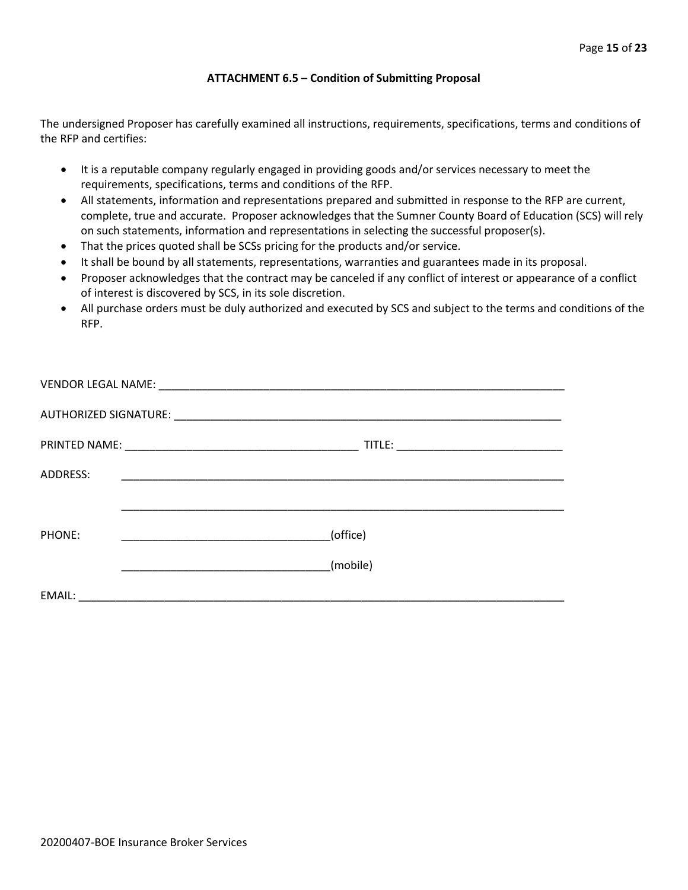## **ATTACHMENT 6.5 – Condition of Submitting Proposal**

The undersigned Proposer has carefully examined all instructions, requirements, specifications, terms and conditions of the RFP and certifies:

- It is a reputable company regularly engaged in providing goods and/or services necessary to meet the requirements, specifications, terms and conditions of the RFP.
- All statements, information and representations prepared and submitted in response to the RFP are current, complete, true and accurate. Proposer acknowledges that the Sumner County Board of Education (SCS) will rely on such statements, information and representations in selecting the successful proposer(s).
- That the prices quoted shall be SCSs pricing for the products and/or service.
- It shall be bound by all statements, representations, warranties and guarantees made in its proposal.
- Proposer acknowledges that the contract may be canceled if any conflict of interest or appearance of a conflict of interest is discovered by SCS, in its sole discretion.
- All purchase orders must be duly authorized and executed by SCS and subject to the terms and conditions of the RFP.

| ADDRESS: |                                                     |
|----------|-----------------------------------------------------|
|          |                                                     |
| PHONE:   | (office)<br><u> 1990 - Johann Barbara, martin a</u> |
|          | (mobile)                                            |
| EMAIL:   |                                                     |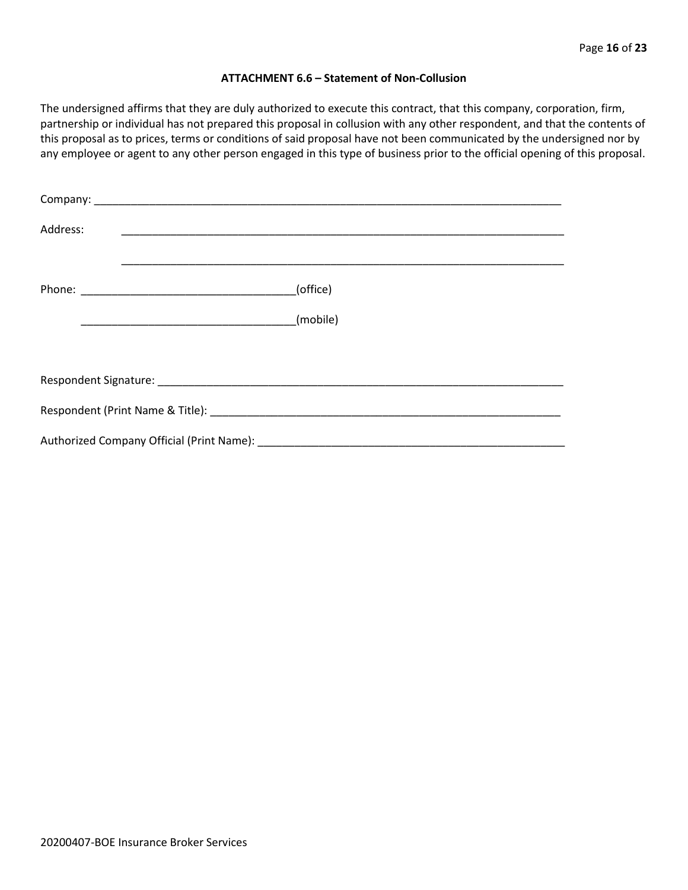#### **ATTACHMENT 6.6 – Statement of Non-Collusion**

The undersigned affirms that they are duly authorized to execute this contract, that this company, corporation, firm, partnership or individual has not prepared this proposal in collusion with any other respondent, and that the contents of this proposal as to prices, terms or conditions of said proposal have not been communicated by the undersigned nor by any employee or agent to any other person engaged in this type of business prior to the official opening of this proposal.

| Address: |          |  |  |  |  |
|----------|----------|--|--|--|--|
|          | (office) |  |  |  |  |
|          | (mobile) |  |  |  |  |
|          |          |  |  |  |  |
|          |          |  |  |  |  |
|          |          |  |  |  |  |
|          |          |  |  |  |  |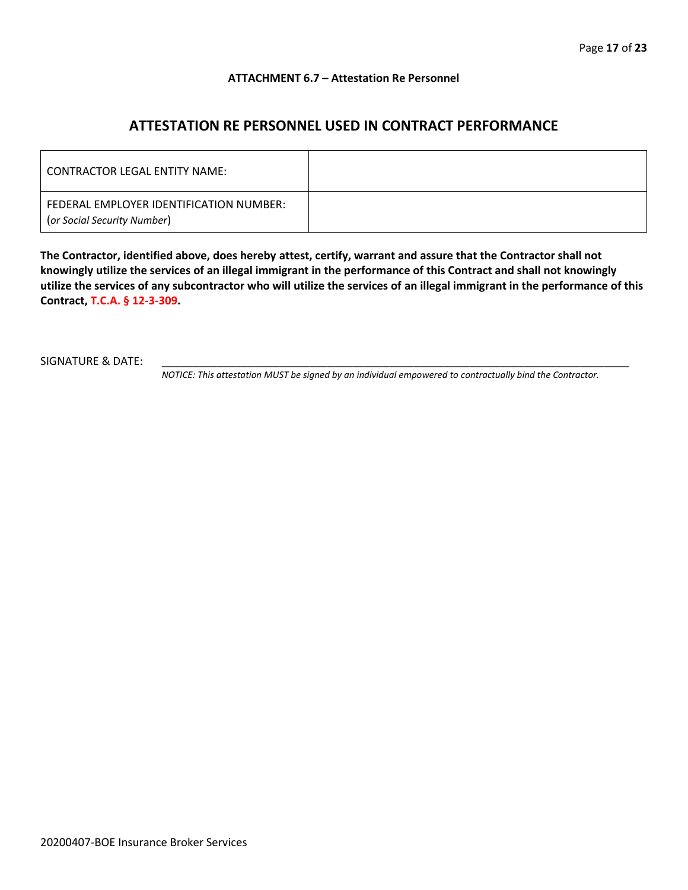## **ATTACHMENT 6.7 – Attestation Re Personnel**

# **ATTESTATION RE PERSONNEL USED IN CONTRACT PERFORMANCE**

| CONTRACTOR LEGAL ENTITY NAME:                                          |  |
|------------------------------------------------------------------------|--|
| FEDERAL EMPLOYER IDENTIFICATION NUMBER:<br>(or Social Security Number) |  |

**The Contractor, identified above, does hereby attest, certify, warrant and assure that the Contractor shall not knowingly utilize the services of an illegal immigrant in the performance of this Contract and shall not knowingly utilize the services of any subcontractor who will utilize the services of an illegal immigrant in the performance of this Contract, T.C.A. § 12-3-309.**

SIGNATURE & DATE:

*NOTICE: This attestation MUST be signed by an individual empowered to contractually bind the Contractor.*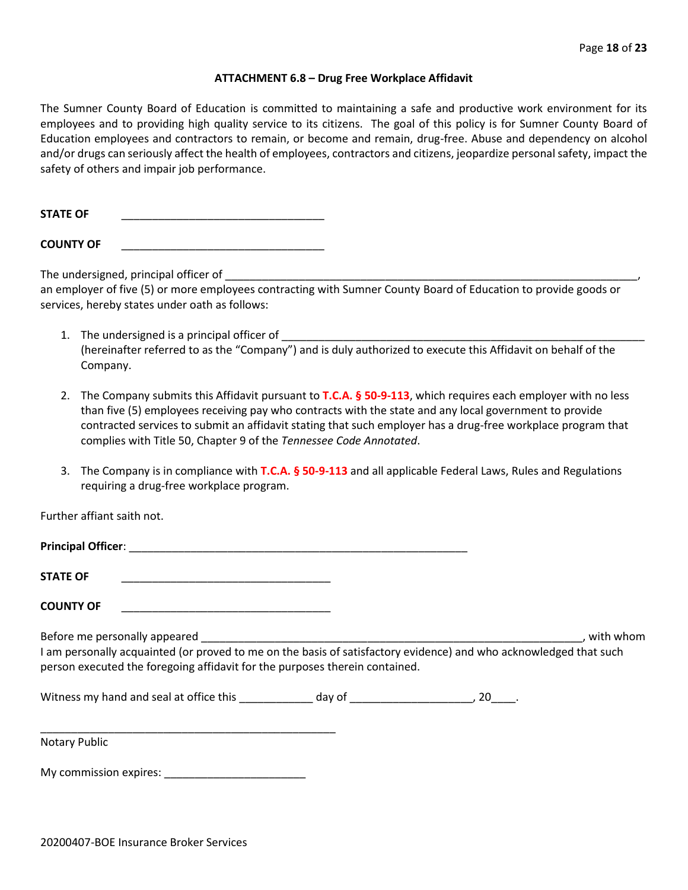#### **ATTACHMENT 6.8 – Drug Free Workplace Affidavit**

The Sumner County Board of Education is committed to maintaining a safe and productive work environment for its employees and to providing high quality service to its citizens. The goal of this policy is for Sumner County Board of Education employees and contractors to remain, or become and remain, drug-free. Abuse and dependency on alcohol and/or drugs can seriously affect the health of employees, contractors and citizens, jeopardize personal safety, impact the safety of others and impair job performance.

STATE OF

**COUNTY OF** \_\_\_\_\_\_\_\_\_\_\_\_\_\_\_\_\_\_\_\_\_\_\_\_\_\_\_\_\_\_\_\_\_

The undersigned, principal officer of

an employer of five (5) or more employees contracting with Sumner County Board of Education to provide goods or services, hereby states under oath as follows:

- 1. The undersigned is a principal officer of (hereinafter referred to as the "Company") and is duly authorized to execute this Affidavit on behalf of the Company.
- 2. The Company submits this Affidavit pursuant to **T.C.A. § 50-9-113**, which requires each employer with no less than five (5) employees receiving pay who contracts with the state and any local government to provide contracted services to submit an affidavit stating that such employer has a drug-free workplace program that complies with Title 50, Chapter 9 of the *Tennessee Code Annotated*.
- 3. The Company is in compliance with **T.C.A. § 50-9-113** and all applicable Federal Laws, Rules and Regulations requiring a drug-free workplace program.

Further affiant saith not.

| <b>Principal Officer:</b> |  |
|---------------------------|--|
|                           |  |
| <b>STATE OF</b>           |  |

**COUNTY OF** \_\_\_\_\_\_\_\_\_\_\_\_\_\_\_\_\_\_\_\_\_\_\_\_\_\_\_\_\_\_\_\_\_\_

Before me personally appeared \_\_\_\_\_\_\_\_\_\_\_\_\_\_\_\_\_\_\_\_\_\_\_\_\_\_\_\_\_\_\_\_\_\_\_\_\_\_\_\_\_\_\_\_\_\_\_\_\_\_\_\_\_\_\_\_\_\_\_\_\_\_, with whom I am personally acquainted (or proved to me on the basis of satisfactory evidence) and who acknowledged that such person executed the foregoing affidavit for the purposes therein contained.

Witness my hand and seal at office this \_\_\_\_\_\_\_\_\_\_\_\_\_ day of \_\_\_\_\_\_\_\_\_\_\_\_\_\_\_\_\_\_\_\_, 20\_\_\_\_.

\_\_\_\_\_\_\_\_\_\_\_\_\_\_\_\_\_\_\_\_\_\_\_\_\_\_\_\_\_\_\_\_\_\_\_\_\_\_\_\_\_\_\_\_\_\_\_\_ Notary Public

My commission expires: \_\_\_\_\_\_\_\_\_\_\_\_\_\_\_\_\_\_\_\_\_\_\_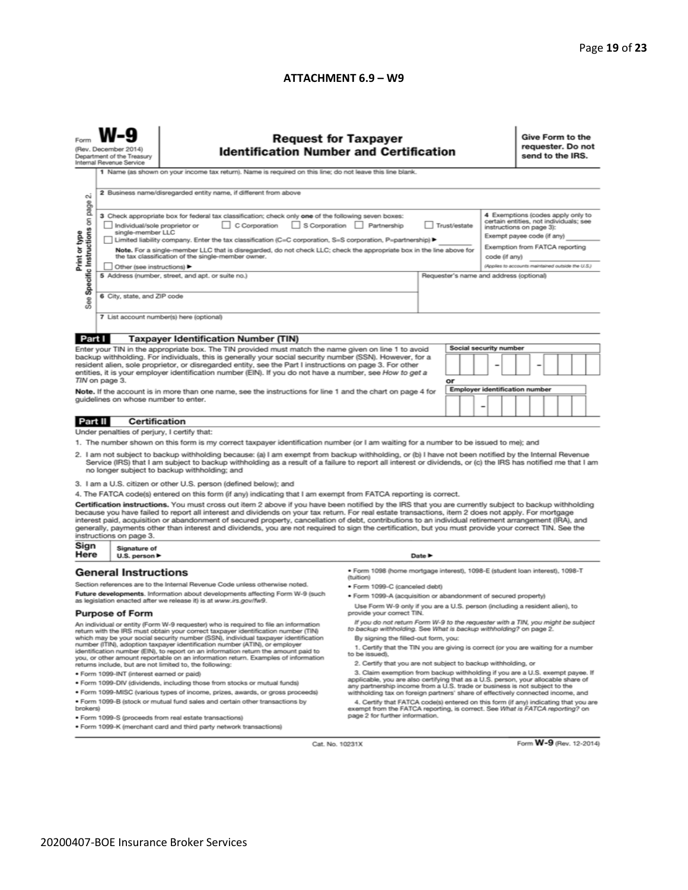#### **ATTACHMENT 6.9 – W9**

|                                                                                                                                                                                                                                                                                                                                                                                                                                                                                                             | <b>Request for Taxpayer</b><br><b>Identification Number and Certification</b><br>(Rev. December 2014)<br>Department of the Treasury<br>Internal Revenue Service<br>1 Name (as shown on your income tax return). Name is required on this line; do not leave this line blank.                                                                                                                                                                                           |                                                                                                                                                                                                                                                                                                                                                                                                                                                                                                                                                                                                                               |                                                                                                                                                                                                               |                            |    |  |                                       |                                                                                                                                                                         | Give Form to the<br>requester. Do not<br>send to the IRS. |  |  |  |  |  |
|-------------------------------------------------------------------------------------------------------------------------------------------------------------------------------------------------------------------------------------------------------------------------------------------------------------------------------------------------------------------------------------------------------------------------------------------------------------------------------------------------------------|------------------------------------------------------------------------------------------------------------------------------------------------------------------------------------------------------------------------------------------------------------------------------------------------------------------------------------------------------------------------------------------------------------------------------------------------------------------------|-------------------------------------------------------------------------------------------------------------------------------------------------------------------------------------------------------------------------------------------------------------------------------------------------------------------------------------------------------------------------------------------------------------------------------------------------------------------------------------------------------------------------------------------------------------------------------------------------------------------------------|---------------------------------------------------------------------------------------------------------------------------------------------------------------------------------------------------------------|----------------------------|----|--|---------------------------------------|-------------------------------------------------------------------------------------------------------------------------------------------------------------------------|-----------------------------------------------------------|--|--|--|--|--|
| N<br>page                                                                                                                                                                                                                                                                                                                                                                                                                                                                                                   | 2 Business name/disregarded entity name, if different from above                                                                                                                                                                                                                                                                                                                                                                                                       |                                                                                                                                                                                                                                                                                                                                                                                                                                                                                                                                                                                                                               |                                                                                                                                                                                                               |                            |    |  |                                       |                                                                                                                                                                         |                                                           |  |  |  |  |  |
| Specific Instructions on<br>Print or type                                                                                                                                                                                                                                                                                                                                                                                                                                                                   | 3 Check appropriate box for federal tax classification; check only one of the following seven boxes:<br>S Corporation Partnership<br>$\Box$ C Corporation<br>Trust/estate<br>Individual/sole proprietor or<br>single-member LLC<br>Limited liability company. Enter the tax classification (C=C corporation, S=S corporation, P=partnership) ▶<br>Note. For a single-member LLC that is disregarded, do not check LLC; check the appropriate box in the line above for |                                                                                                                                                                                                                                                                                                                                                                                                                                                                                                                                                                                                                               |                                                                                                                                                                                                               |                            |    |  |                                       | 4 Exemptions (codes apply only to<br>certain entities, not individuals; see<br>instructions on page 3):<br>Exempt payee code (if any)<br>Exemption from FATCA reporting |                                                           |  |  |  |  |  |
|                                                                                                                                                                                                                                                                                                                                                                                                                                                                                                             |                                                                                                                                                                                                                                                                                                                                                                                                                                                                        | the tax classification of the single-member owner.<br>Other (see instructions)                                                                                                                                                                                                                                                                                                                                                                                                                                                                                                                                                |                                                                                                                                                                                                               |                            |    |  |                                       | code (if any)<br>(Applies to accounts maintained outside the U.S.)                                                                                                      |                                                           |  |  |  |  |  |
|                                                                                                                                                                                                                                                                                                                                                                                                                                                                                                             | 6 City, state, and ZIP code                                                                                                                                                                                                                                                                                                                                                                                                                                            | 5 Address (number, street, and apt. or suite no.)                                                                                                                                                                                                                                                                                                                                                                                                                                                                                                                                                                             | Requester's name and address (optional)                                                                                                                                                                       |                            |    |  |                                       |                                                                                                                                                                         |                                                           |  |  |  |  |  |
| See<br>7 List account number(s) here (optional)                                                                                                                                                                                                                                                                                                                                                                                                                                                             |                                                                                                                                                                                                                                                                                                                                                                                                                                                                        |                                                                                                                                                                                                                                                                                                                                                                                                                                                                                                                                                                                                                               |                                                                                                                                                                                                               |                            |    |  |                                       |                                                                                                                                                                         |                                                           |  |  |  |  |  |
| Part I                                                                                                                                                                                                                                                                                                                                                                                                                                                                                                      |                                                                                                                                                                                                                                                                                                                                                                                                                                                                        | <b>Taxpayer Identification Number (TIN)</b>                                                                                                                                                                                                                                                                                                                                                                                                                                                                                                                                                                                   |                                                                                                                                                                                                               |                            |    |  |                                       |                                                                                                                                                                         |                                                           |  |  |  |  |  |
|                                                                                                                                                                                                                                                                                                                                                                                                                                                                                                             |                                                                                                                                                                                                                                                                                                                                                                                                                                                                        | Enter your TIN in the appropriate box. The TIN provided must match the name given on line 1 to avoid                                                                                                                                                                                                                                                                                                                                                                                                                                                                                                                          |                                                                                                                                                                                                               |                            |    |  | Social security number                |                                                                                                                                                                         |                                                           |  |  |  |  |  |
| backup withholding. For individuals, this is generally your social security number (SSN). However, for a<br>resident alien, sole proprietor, or disregarded entity, see the Part I instructions on page 3. For other<br>entities, it is your employer identification number (EIN). If you do not have a number, see How to get a                                                                                                                                                                            |                                                                                                                                                                                                                                                                                                                                                                                                                                                                        |                                                                                                                                                                                                                                                                                                                                                                                                                                                                                                                                                                                                                               |                                                                                                                                                                                                               |                            |    |  |                                       |                                                                                                                                                                         |                                                           |  |  |  |  |  |
|                                                                                                                                                                                                                                                                                                                                                                                                                                                                                                             | TIN on page 3.                                                                                                                                                                                                                                                                                                                                                                                                                                                         |                                                                                                                                                                                                                                                                                                                                                                                                                                                                                                                                                                                                                               |                                                                                                                                                                                                               |                            | or |  | <b>Employer identification number</b> |                                                                                                                                                                         |                                                           |  |  |  |  |  |
| Note. If the account is in more than one name, see the instructions for line 1 and the chart on page 4 for<br>quidelines on whose number to enter.                                                                                                                                                                                                                                                                                                                                                          |                                                                                                                                                                                                                                                                                                                                                                                                                                                                        |                                                                                                                                                                                                                                                                                                                                                                                                                                                                                                                                                                                                                               |                                                                                                                                                                                                               | -                          |    |  |                                       |                                                                                                                                                                         |                                                           |  |  |  |  |  |
| Part II                                                                                                                                                                                                                                                                                                                                                                                                                                                                                                     | <b>Certification</b>                                                                                                                                                                                                                                                                                                                                                                                                                                                   |                                                                                                                                                                                                                                                                                                                                                                                                                                                                                                                                                                                                                               |                                                                                                                                                                                                               |                            |    |  |                                       |                                                                                                                                                                         |                                                           |  |  |  |  |  |
|                                                                                                                                                                                                                                                                                                                                                                                                                                                                                                             | Under penalties of perjury, I certify that:                                                                                                                                                                                                                                                                                                                                                                                                                            |                                                                                                                                                                                                                                                                                                                                                                                                                                                                                                                                                                                                                               |                                                                                                                                                                                                               |                            |    |  |                                       |                                                                                                                                                                         |                                                           |  |  |  |  |  |
| 1. The number shown on this form is my correct taxpayer identification number (or I am waiting for a number to be issued to me); and<br>2. I am not subject to backup withholding because: (a) I am exempt from backup withholding, or (b) I have not been notified by the Internal Revenue<br>Service (IRS) that I am subject to backup withholding as a result of a failure to report all interest or dividends, or (c) the IRS has notified me that I am<br>no longer subject to backup withholding; and |                                                                                                                                                                                                                                                                                                                                                                                                                                                                        |                                                                                                                                                                                                                                                                                                                                                                                                                                                                                                                                                                                                                               |                                                                                                                                                                                                               |                            |    |  |                                       |                                                                                                                                                                         |                                                           |  |  |  |  |  |
|                                                                                                                                                                                                                                                                                                                                                                                                                                                                                                             |                                                                                                                                                                                                                                                                                                                                                                                                                                                                        | 3. I am a U.S. citizen or other U.S. person (defined below); and                                                                                                                                                                                                                                                                                                                                                                                                                                                                                                                                                              |                                                                                                                                                                                                               |                            |    |  |                                       |                                                                                                                                                                         |                                                           |  |  |  |  |  |
|                                                                                                                                                                                                                                                                                                                                                                                                                                                                                                             |                                                                                                                                                                                                                                                                                                                                                                                                                                                                        | 4. The FATCA code(s) entered on this form (if any) indicating that I am exempt from FATCA reporting is correct.                                                                                                                                                                                                                                                                                                                                                                                                                                                                                                               |                                                                                                                                                                                                               |                            |    |  |                                       |                                                                                                                                                                         |                                                           |  |  |  |  |  |
|                                                                                                                                                                                                                                                                                                                                                                                                                                                                                                             | instructions on page 3.                                                                                                                                                                                                                                                                                                                                                                                                                                                | Certification instructions. You must cross out item 2 above if you have been notified by the IRS that you are currently subject to backup withholding<br>because you have failed to report all interest and dividends on your tax return. For real estate transactions, item 2 does not apply. For mortgage<br>interest paid, acquisition or abandonment of secured property, cancellation of debt, contributions to an individual retirement arrangement (IRA), and<br>generally, payments other than interest and dividends, you are not required to sign the certification, but you must provide your correct TIN. See the |                                                                                                                                                                                                               |                            |    |  |                                       |                                                                                                                                                                         |                                                           |  |  |  |  |  |
| Sign<br>Here                                                                                                                                                                                                                                                                                                                                                                                                                                                                                                | Signature of<br>U.S. person $\blacktriangleright$                                                                                                                                                                                                                                                                                                                                                                                                                      |                                                                                                                                                                                                                                                                                                                                                                                                                                                                                                                                                                                                                               |                                                                                                                                                                                                               | Date $\blacktriangleright$ |    |  |                                       |                                                                                                                                                                         |                                                           |  |  |  |  |  |
|                                                                                                                                                                                                                                                                                                                                                                                                                                                                                                             | <b>General Instructions</b>                                                                                                                                                                                                                                                                                                                                                                                                                                            |                                                                                                                                                                                                                                                                                                                                                                                                                                                                                                                                                                                                                               | · Form 1098 (home mortgage interest), 1098-E (student loan interest), 1098-T<br>(tuition)                                                                                                                     |                            |    |  |                                       |                                                                                                                                                                         |                                                           |  |  |  |  |  |
| Section references are to the Internal Revenue Code unless otherwise noted.                                                                                                                                                                                                                                                                                                                                                                                                                                 |                                                                                                                                                                                                                                                                                                                                                                                                                                                                        |                                                                                                                                                                                                                                                                                                                                                                                                                                                                                                                                                                                                                               | · Form 1099-C (canceled debt)                                                                                                                                                                                 |                            |    |  |                                       |                                                                                                                                                                         |                                                           |  |  |  |  |  |
|                                                                                                                                                                                                                                                                                                                                                                                                                                                                                                             |                                                                                                                                                                                                                                                                                                                                                                                                                                                                        | Future developments. Information about developments affecting Form W-9 (such<br>as legislation enacted after we release it) is at www.irs.gov/fw9.                                                                                                                                                                                                                                                                                                                                                                                                                                                                            | . Form 1099-A (acquisition or abandonment of secured property)                                                                                                                                                |                            |    |  |                                       |                                                                                                                                                                         |                                                           |  |  |  |  |  |
| <b>Purpose of Form</b>                                                                                                                                                                                                                                                                                                                                                                                                                                                                                      |                                                                                                                                                                                                                                                                                                                                                                                                                                                                        |                                                                                                                                                                                                                                                                                                                                                                                                                                                                                                                                                                                                                               | Use Form W-9 only if you are a U.S. person (including a resident alien), to<br>provide your correct TIN.                                                                                                      |                            |    |  |                                       |                                                                                                                                                                         |                                                           |  |  |  |  |  |
| If you do not return Form W-9 to the requester with a TIN, you might be subject<br>An individual or entity (Form W-9 requester) who is required to file an information<br>to backup withholding. See What is backup withholding? on page 2.<br>return with the IRS must obtain your correct taxpayer identification number (TIN)                                                                                                                                                                            |                                                                                                                                                                                                                                                                                                                                                                                                                                                                        |                                                                                                                                                                                                                                                                                                                                                                                                                                                                                                                                                                                                                               |                                                                                                                                                                                                               |                            |    |  |                                       |                                                                                                                                                                         |                                                           |  |  |  |  |  |
| which may be your social security number (SSN), individual taxpayer identification<br>number (ITIN), adoption taxpayer identification number (ATIN), or employer<br>identification number (EIN), to report on an information return the amount paid to<br>you, or other amount reportable on an information return. Examples of information                                                                                                                                                                 |                                                                                                                                                                                                                                                                                                                                                                                                                                                                        |                                                                                                                                                                                                                                                                                                                                                                                                                                                                                                                                                                                                                               | By signing the filled-out form, you:<br>1. Certify that the TIN you are giving is correct (or you are waiting for a number<br>to be issued).<br>2. Certify that you are not subject to backup withholding, or |                            |    |  |                                       |                                                                                                                                                                         |                                                           |  |  |  |  |  |
| returns include, but are not limited to, the following:<br>3. Claim exemption from backup withholding if you are a U.S. exempt payee. If<br>· Form 1099-INT (interest earned or paid)                                                                                                                                                                                                                                                                                                                       |                                                                                                                                                                                                                                                                                                                                                                                                                                                                        |                                                                                                                                                                                                                                                                                                                                                                                                                                                                                                                                                                                                                               |                                                                                                                                                                                                               |                            |    |  |                                       |                                                                                                                                                                         |                                                           |  |  |  |  |  |
| applicable, you are also certifying that as a U.S. person, your allocable share of<br>. Form 1099-DIV (dividends, including those from stocks or mutual funds)                                                                                                                                                                                                                                                                                                                                              |                                                                                                                                                                                                                                                                                                                                                                                                                                                                        |                                                                                                                                                                                                                                                                                                                                                                                                                                                                                                                                                                                                                               |                                                                                                                                                                                                               |                            |    |  |                                       |                                                                                                                                                                         |                                                           |  |  |  |  |  |
| any partnership income from a U.S. trade or business is not subject to the<br>* Form 1099-MISC (various types of income, prizes, awards, or gross proceeds)<br>withholding tax on foreign partners' share of effectively connected income, and                                                                                                                                                                                                                                                              |                                                                                                                                                                                                                                                                                                                                                                                                                                                                        |                                                                                                                                                                                                                                                                                                                                                                                                                                                                                                                                                                                                                               |                                                                                                                                                                                                               |                            |    |  |                                       |                                                                                                                                                                         |                                                           |  |  |  |  |  |
| . Form 1099-B (stock or mutual fund sales and certain other transactions by<br>4. Certify that FATCA code(s) entered on this form (if any) indicating that you are<br>brokers)<br>exempt from the FATCA reporting, is correct. See What is FATCA reporting? on<br>page 2 for further information.<br>· Form 1099-S (proceeds from real estate transactions)                                                                                                                                                 |                                                                                                                                                                                                                                                                                                                                                                                                                                                                        |                                                                                                                                                                                                                                                                                                                                                                                                                                                                                                                                                                                                                               |                                                                                                                                                                                                               |                            |    |  |                                       |                                                                                                                                                                         |                                                           |  |  |  |  |  |
| . Form 1099-K (merchant card and third party network transactions)                                                                                                                                                                                                                                                                                                                                                                                                                                          |                                                                                                                                                                                                                                                                                                                                                                                                                                                                        |                                                                                                                                                                                                                                                                                                                                                                                                                                                                                                                                                                                                                               |                                                                                                                                                                                                               |                            |    |  |                                       |                                                                                                                                                                         |                                                           |  |  |  |  |  |

Cat. No. 10231X

Form W-9 (Rev. 12-2014)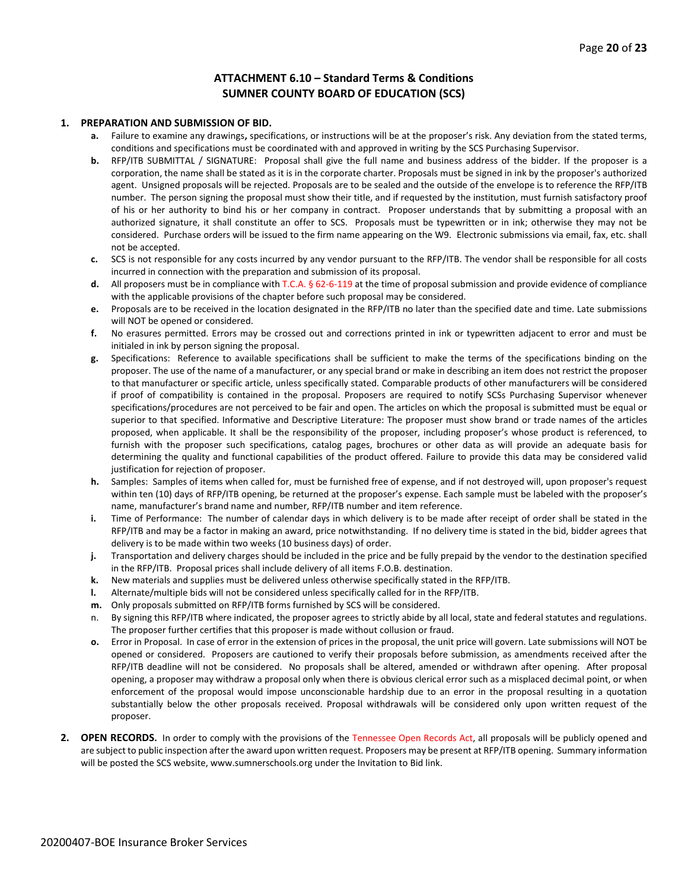# **ATTACHMENT 6.10 – Standard Terms & Conditions SUMNER COUNTY BOARD OF EDUCATION (SCS)**

#### **1. PREPARATION AND SUBMISSION OF BID.**

- **a.** Failure to examine any drawings**,** specifications, or instructions will be at the proposer's risk. Any deviation from the stated terms, conditions and specifications must be coordinated with and approved in writing by the SCS Purchasing Supervisor.
- **b.** RFP/ITB SUBMITTAL / SIGNATURE: Proposal shall give the full name and business address of the bidder. If the proposer is a corporation, the name shall be stated as it is in the corporate charter. Proposals must be signed in ink by the proposer's authorized agent. Unsigned proposals will be rejected. Proposals are to be sealed and the outside of the envelope is to reference the RFP/ITB number. The person signing the proposal must show their title, and if requested by the institution, must furnish satisfactory proof of his or her authority to bind his or her company in contract. Proposer understands that by submitting a proposal with an authorized signature, it shall constitute an offer to SCS. Proposals must be typewritten or in ink; otherwise they may not be considered. Purchase orders will be issued to the firm name appearing on the W9. Electronic submissions via email, fax, etc. shall not be accepted.
- **c.** SCS is not responsible for any costs incurred by any vendor pursuant to the RFP/ITB. The vendor shall be responsible for all costs incurred in connection with the preparation and submission of its proposal.
- **d.** All proposers must be in compliance with T.C.A. § 62-6-119 at the time of proposal submission and provide evidence of compliance with the applicable provisions of the chapter before such proposal may be considered.
- **e.** Proposals are to be received in the location designated in the RFP/ITB no later than the specified date and time. Late submissions will NOT be opened or considered.
- **f.** No erasures permitted. Errors may be crossed out and corrections printed in ink or typewritten adjacent to error and must be initialed in ink by person signing the proposal.
- **g.** Specifications: Reference to available specifications shall be sufficient to make the terms of the specifications binding on the proposer. The use of the name of a manufacturer, or any special brand or make in describing an item does not restrict the proposer to that manufacturer or specific article, unless specifically stated. Comparable products of other manufacturers will be considered if proof of compatibility is contained in the proposal. Proposers are required to notify SCSs Purchasing Supervisor whenever specifications/procedures are not perceived to be fair and open. The articles on which the proposal is submitted must be equal or superior to that specified. Informative and Descriptive Literature: The proposer must show brand or trade names of the articles proposed, when applicable. It shall be the responsibility of the proposer, including proposer's whose product is referenced, to furnish with the proposer such specifications, catalog pages, brochures or other data as will provide an adequate basis for determining the quality and functional capabilities of the product offered. Failure to provide this data may be considered valid justification for rejection of proposer.
- **h.** Samples: Samples of items when called for, must be furnished free of expense, and if not destroyed will, upon proposer's request within ten (10) days of RFP/ITB opening, be returned at the proposer's expense. Each sample must be labeled with the proposer's name, manufacturer's brand name and number, RFP/ITB number and item reference.
- **i.** Time of Performance: The number of calendar days in which delivery is to be made after receipt of order shall be stated in the RFP/ITB and may be a factor in making an award, price notwithstanding. If no delivery time is stated in the bid, bidder agrees that delivery is to be made within two weeks (10 business days) of order.
- **j.** Transportation and delivery charges should be included in the price and be fully prepaid by the vendor to the destination specified in the RFP/ITB. Proposal prices shall include delivery of all items F.O.B. destination.
- **k.** New materials and supplies must be delivered unless otherwise specifically stated in the RFP/ITB.
- **l.** Alternate/multiple bids will not be considered unless specifically called for in the RFP/ITB.
- **m.** Only proposals submitted on RFP/ITB forms furnished by SCS will be considered.
- n. By signing this RFP/ITB where indicated, the proposer agrees to strictly abide by all local, state and federal statutes and regulations. The proposer further certifies that this proposer is made without collusion or fraud.
- **o.** Error in Proposal. In case of error in the extension of prices in the proposal, the unit price will govern. Late submissions will NOT be opened or considered. Proposers are cautioned to verify their proposals before submission, as amendments received after the RFP/ITB deadline will not be considered. No proposals shall be altered, amended or withdrawn after opening. After proposal opening, a proposer may withdraw a proposal only when there is obvious clerical error such as a misplaced decimal point, or when enforcement of the proposal would impose unconscionable hardship due to an error in the proposal resulting in a quotation substantially below the other proposals received. Proposal withdrawals will be considered only upon written request of the proposer.
- **2. OPEN RECORDS.** In order to comply with the provisions of the Tennessee Open Records Act, all proposals will be publicly opened and are subject to public inspection after the award upon written request. Proposers may be present at RFP/ITB opening. Summary information will be posted the SCS website, www.sumnerschools.org under the Invitation to Bid link.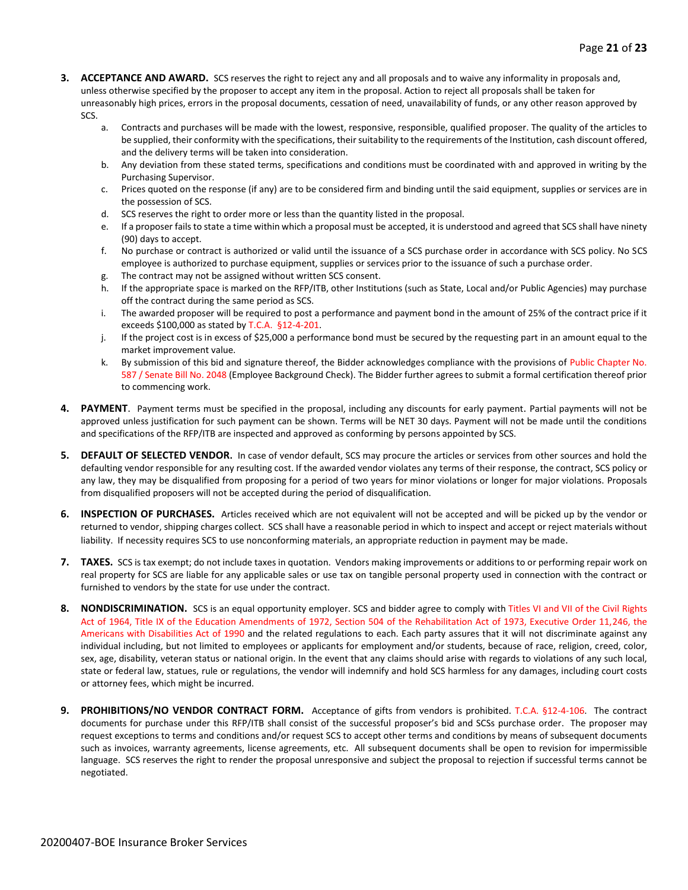- **3. ACCEPTANCE AND AWARD.** SCS reserves the right to reject any and all proposals and to waive any informality in proposals and, unless otherwise specified by the proposer to accept any item in the proposal. Action to reject all proposals shall be taken for unreasonably high prices, errors in the proposal documents, cessation of need, unavailability of funds, or any other reason approved by SCS.
	- a. Contracts and purchases will be made with the lowest, responsive, responsible, qualified proposer. The quality of the articles to be supplied, their conformity with the specifications, their suitability to the requirements of the Institution, cash discount offered, and the delivery terms will be taken into consideration.
	- b. Any deviation from these stated terms, specifications and conditions must be coordinated with and approved in writing by the Purchasing Supervisor.
	- c. Prices quoted on the response (if any) are to be considered firm and binding until the said equipment, supplies or services are in the possession of SCS.
	- d. SCS reserves the right to order more or less than the quantity listed in the proposal.
	- e. If a proposer fails to state a time within which a proposal must be accepted, it is understood and agreed that SCS shall have ninety (90) days to accept.
	- f. No purchase or contract is authorized or valid until the issuance of a SCS purchase order in accordance with SCS policy. No SCS employee is authorized to purchase equipment, supplies or services prior to the issuance of such a purchase order.
	- g. The contract may not be assigned without written SCS consent.
	- h. If the appropriate space is marked on the RFP/ITB, other Institutions (such as State, Local and/or Public Agencies) may purchase off the contract during the same period as SCS.
	- i. The awarded proposer will be required to post a performance and payment bond in the amount of 25% of the contract price if it exceeds \$100,000 as stated by T.C.A. §12-4-201.
	- j. If the project cost is in excess of \$25,000 a performance bond must be secured by the requesting part in an amount equal to the market improvement value.
	- k. By submission of this bid and signature thereof, the Bidder acknowledges compliance with the provisions of Public Chapter No. 587 / Senate Bill No. 2048 (Employee Background Check). The Bidder further agrees to submit a formal certification thereof prior to commencing work.
- **4. PAYMENT**. Payment terms must be specified in the proposal, including any discounts for early payment. Partial payments will not be approved unless justification for such payment can be shown. Terms will be NET 30 days. Payment will not be made until the conditions and specifications of the RFP/ITB are inspected and approved as conforming by persons appointed by SCS.
- **5. DEFAULT OF SELECTED VENDOR.** In case of vendor default, SCS may procure the articles or services from other sources and hold the defaulting vendor responsible for any resulting cost. If the awarded vendor violates any terms of their response, the contract, SCS policy or any law, they may be disqualified from proposing for a period of two years for minor violations or longer for major violations. Proposals from disqualified proposers will not be accepted during the period of disqualification.
- **6. INSPECTION OF PURCHASES.** Articles received which are not equivalent will not be accepted and will be picked up by the vendor or returned to vendor, shipping charges collect. SCS shall have a reasonable period in which to inspect and accept or reject materials without liability. If necessity requires SCS to use nonconforming materials, an appropriate reduction in payment may be made.
- **7. TAXES.** SCS is tax exempt; do not include taxes in quotation. Vendors making improvements or additions to or performing repair work on real property for SCS are liable for any applicable sales or use tax on tangible personal property used in connection with the contract or furnished to vendors by the state for use under the contract.
- **8. NONDISCRIMINATION.** SCS is an equal opportunity employer. SCS and bidder agree to comply with Titles VI and VII of the Civil Rights Act of 1964, Title IX of the Education Amendments of 1972, Section 504 of the Rehabilitation Act of 1973, Executive Order 11,246, the Americans with Disabilities Act of 1990 and the related regulations to each. Each party assures that it will not discriminate against any individual including, but not limited to employees or applicants for employment and/or students, because of race, religion, creed, color, sex, age, disability, veteran status or national origin. In the event that any claims should arise with regards to violations of any such local, state or federal law, statues, rule or regulations, the vendor will indemnify and hold SCS harmless for any damages, including court costs or attorney fees, which might be incurred.
- **9. PROHIBITIONS/NO VENDOR CONTRACT FORM.** Acceptance of gifts from vendors is prohibited. T.C.A. §12-4-106. The contract documents for purchase under this RFP/ITB shall consist of the successful proposer's bid and SCSs purchase order. The proposer may request exceptions to terms and conditions and/or request SCS to accept other terms and conditions by means of subsequent documents such as invoices, warranty agreements, license agreements, etc. All subsequent documents shall be open to revision for impermissible language. SCS reserves the right to render the proposal unresponsive and subject the proposal to rejection if successful terms cannot be negotiated.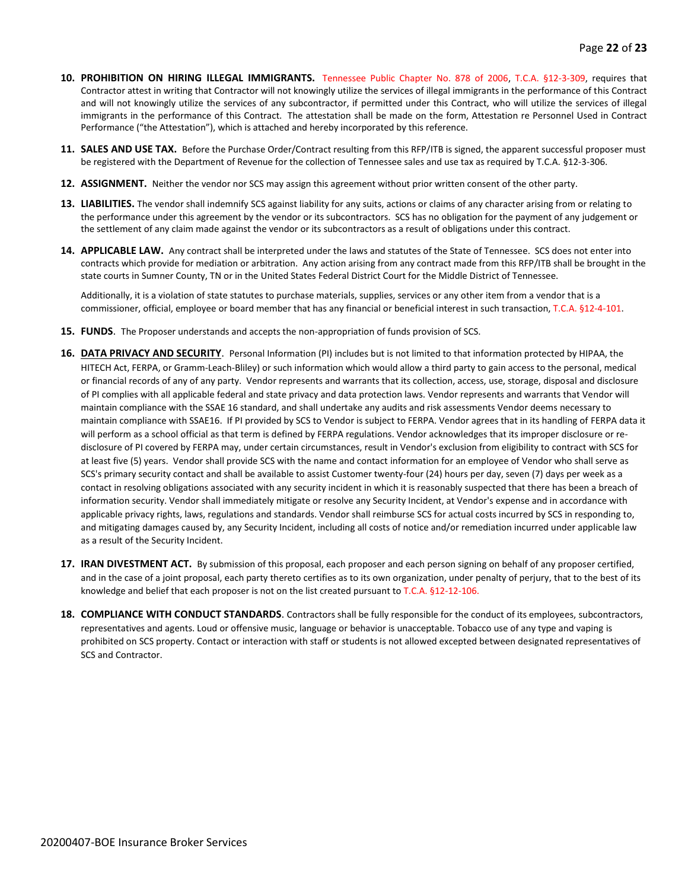- **10. PROHIBITION ON HIRING ILLEGAL IMMIGRANTS.** Tennessee Public Chapter No. 878 of 2006, T.C.A. §12-3-309, requires that Contractor attest in writing that Contractor will not knowingly utilize the services of illegal immigrants in the performance of this Contract and will not knowingly utilize the services of any subcontractor, if permitted under this Contract, who will utilize the services of illegal immigrants in the performance of this Contract. The attestation shall be made on the form, Attestation re Personnel Used in Contract Performance ("the Attestation"), which is attached and hereby incorporated by this reference.
- **11. SALES AND USE TAX.** Before the Purchase Order/Contract resulting from this RFP/ITB is signed, the apparent successful proposer must be registered with the Department of Revenue for the collection of Tennessee sales and use tax as required by T.C.A. §12-3-306.
- **12. ASSIGNMENT.** Neither the vendor nor SCS may assign this agreement without prior written consent of the other party.
- **13. LIABILITIES.** The vendor shall indemnify SCS against liability for any suits, actions or claims of any character arising from or relating to the performance under this agreement by the vendor or its subcontractors. SCS has no obligation for the payment of any judgement or the settlement of any claim made against the vendor or its subcontractors as a result of obligations under this contract.
- **14. APPLICABLE LAW.** Any contract shall be interpreted under the laws and statutes of the State of Tennessee. SCS does not enter into contracts which provide for mediation or arbitration. Any action arising from any contract made from this RFP/ITB shall be brought in the state courts in Sumner County, TN or in the United States Federal District Court for the Middle District of Tennessee.

Additionally, it is a violation of state statutes to purchase materials, supplies, services or any other item from a vendor that is a commissioner, official, employee or board member that has any financial or beneficial interest in such transaction, T.C.A. §12-4-101.

- **15. FUNDS**. The Proposer understands and accepts the non-appropriation of funds provision of SCS.
- **16. DATA PRIVACY AND SECURITY**. Personal Information (PI) includes but is not limited to that information protected by HIPAA, the HITECH Act, FERPA, or Gramm-Leach-Bliley) or such information which would allow a third party to gain access to the personal, medical or financial records of any of any party. Vendor represents and warrants that its collection, access, use, storage, disposal and disclosure of PI complies with all applicable federal and state privacy and data protection laws. Vendor represents and warrants that Vendor will maintain compliance with the SSAE 16 standard, and shall undertake any audits and risk assessments Vendor deems necessary to maintain compliance with SSAE16. If PI provided by SCS to Vendor is subject to FERPA. Vendor agrees that in its handling of FERPA data it will perform as a school official as that term is defined by FERPA regulations. Vendor acknowledges that its improper disclosure or redisclosure of PI covered by FERPA may, under certain circumstances, result in Vendor's exclusion from eligibility to contract with SCS for at least five (5) years. Vendor shall provide SCS with the name and contact information for an employee of Vendor who shall serve as SCS's primary security contact and shall be available to assist Customer twenty-four (24) hours per day, seven (7) days per week as a contact in resolving obligations associated with any security incident in which it is reasonably suspected that there has been a breach of information security. Vendor shall immediately mitigate or resolve any Security Incident, at Vendor's expense and in accordance with applicable privacy rights, laws, regulations and standards. Vendor shall reimburse SCS for actual costs incurred by SCS in responding to, and mitigating damages caused by, any Security Incident, including all costs of notice and/or remediation incurred under applicable law as a result of the Security Incident.
- **17. IRAN DIVESTMENT ACT.** By submission of this proposal, each proposer and each person signing on behalf of any proposer certified, and in the case of a joint proposal, each party thereto certifies as to its own organization, under penalty of perjury, that to the best of its knowledge and belief that each proposer is not on the list created pursuant to T.C.A. §12-12-106.
- **18. COMPLIANCE WITH CONDUCT STANDARDS**. Contractors shall be fully responsible for the conduct of its employees, subcontractors, representatives and agents. Loud or offensive music, language or behavior is unacceptable. Tobacco use of any type and vaping is prohibited on SCS property. Contact or interaction with staff or students is not allowed excepted between designated representatives of SCS and Contractor.